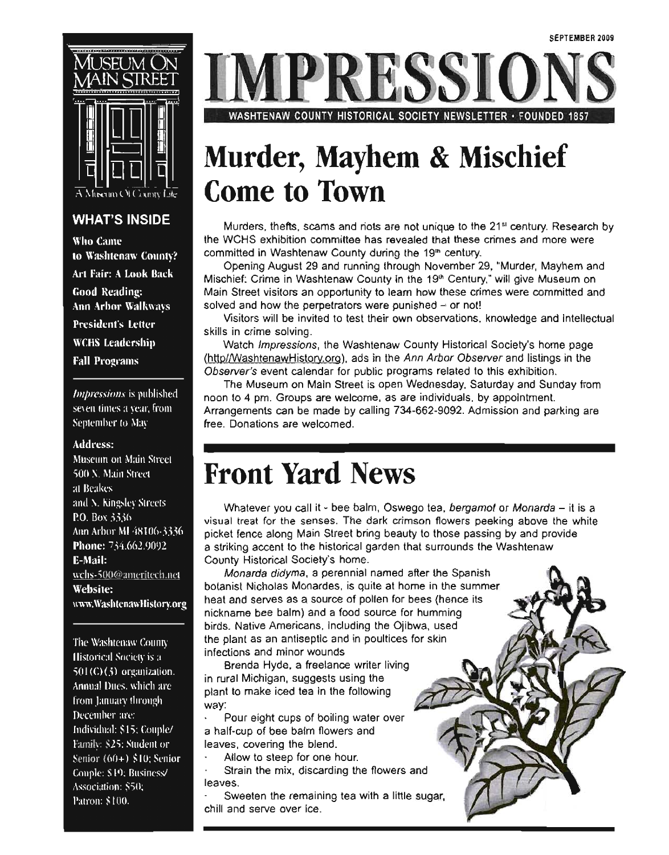

### **WHAT'S INSIDE**

Who Came to Washtenaw County? Art Fair: A Look Back **Good Reading: Ann Arbor Walkways President's Letter WCHS** Leadership **Fall Programs** 

*Impressions* is published seven times a year, from September to May

#### **Address:**

Museum on Main Street 500 X. Main Street at Beakes and N. Kingsley Streets P.O. Box 3336 Ann Arbor MI 48106-3336 Phone: 734.662.9092 E-Mail: wchs-500@ameritech.net Website: uww.WashtenawHistory.org

The Washtenaw County Historical Society is a  $501$ (C)( $5$ ) organization. Annual Dues, which are from January through December are: Individual: \$15; Couple/ Family: \$25; Student or Senior  $(60+)$  \$10; Senior Couple: \$19; Business/ Association: \$50, Patron: \$100.

**TPRESSIC** 

WASHTENAW COUNTY HISTORICAL SOCIETY NEWSLETTER· FOUNOED 1857

# Murder, Mayhem & Mischief Come to Town

Murders, thefts, scams and riots are not unique to the 21<sup>st</sup> century. Research by the WCHS exhibition committee has revealed that these crimes and more were committed in Washtenaw County during the 19<sup>th</sup> century.

Opening August 29 and running through November 29, "Murder, Mayhem and Mischief: Crime in Washtenaw County in the 19<sup>th</sup> Century," will give Museum on Main Street visitors an opportunity to learn how these crimes were committed and solved and how the perpetrators were punished  $-$  or not!

Visitors will be invited to test their own observations, knowledge and intellectual skills in crime solving.

Watch *Impressions*, the Washtenaw County Historical Society's home page (http//WashtenawHistory.org), ads in the Ann Arbor Observer and listings in the Observer's event calendar for public programs related to this exhibition.

The Museum on Main Street is open Wednesday, Saturday and Sunday from noon to 4 pm. Groups are welcome, as are individuals, by appointment. Arrangements can be made by calling 734-662-9092. Admission and parking are free. Donations are welcomed.

### Front Yard News

Whatever you call it - bee balm, Oswego tea, bergamot or Monarda - it is a visual treat for the senses. The dark crimson flowers peeking above the while picket fence along Main Street bring beauty to those passing by and provide a striking accent to the historical garden that surrounds the Washtenaw County Historical Society's home.

Monarda didyma, a perennial named after the Spanish botanist Nicholas Monardes, is quite at home in the summer heat and serves as a source of pollen for bees (hence its nickname bee balm) and a food source for humming birds. Native Americans, including the Ojibwa, used the plant as an antiseptic and in poultices for skin infections and minor wounds

Brenda Hyde, a freelance writer living in rural Michigan, suggests using the plant to make iced tea in the following way:

Pour eight cups of boiling water over a half-cup of bee balm flowers and leaves, covering the blend.

- Allow to steep for one hour.
- Strain the mix, discarding the flowers and leaves.

Sweeten the remaining tea with a little sugar, chill and serve over ice.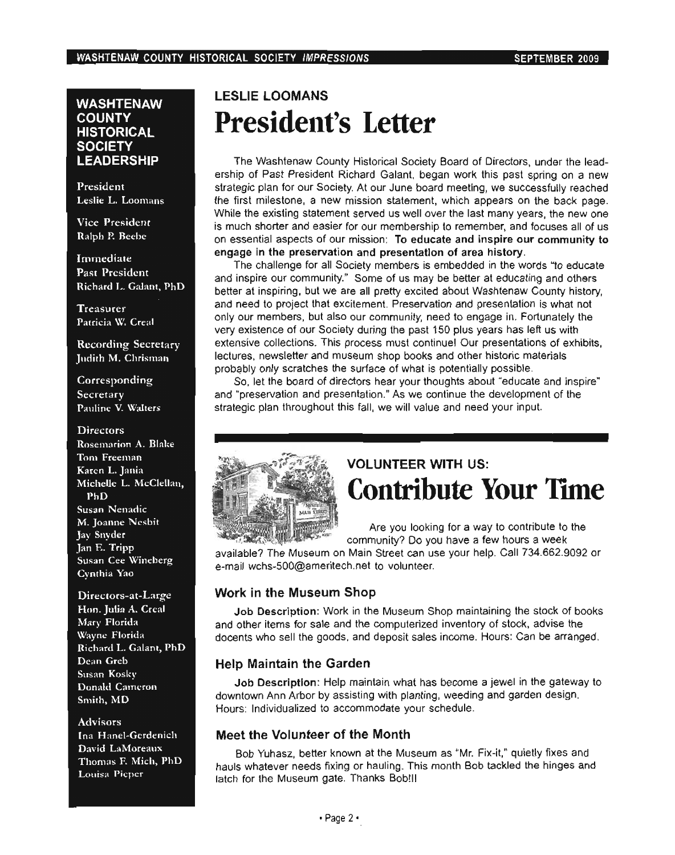#### **WASHTENAW COUNTY HISTORICAL SOCIETY LEADERSHIP**

President Leslie L. Loomans

**Vice President** Ralph P. Beebe

Immediate **Past President** Richard L. Galant, PhD

**Treasurer** Patricia W. Creal

**Recording Secretary** Judith M. Chrisman

Corresponding Secretary Pauline V. Walters

#### **Directors** Rosemarion A. Blake Tom Freeman Karen L. Jania Michelle L. McClellan, PhD Susan Nenadic M. Joanne Nesbit Jay Snyder Jan E. Tripp Susan Cee Wineberg Cynthia Yao

Directors-at-Large Hon. Julia A. Creal Mary Florida Wayne Florida Richard L. Galant, PhD Dean Greb **Susan Kosky Donald Cameron** Smith, MD

**Advisors** Ina Hanel-Gerdenich David LaMoreaux Thomas F. Mich, PhD Louisa Pieper

### **LESLIE LOOMANS President's Letter**

The Washtenaw County Historical Society Board of Directors, under the leadership of Past President Richard Galant, began work this past spring on a new strategic plan for our Society. At our June board meeting, we successfully reached the first milestone, a new mission statement, which appears on the back page. While the existing statement served us well over the last many years, the new one is much shorter and easier for our membership to remember, and focuses all of us on essential aspects of our mission: To educate and inspire our community to engage in the preservation and presentation of area history.

The challenge for all Society members is embedded in the words "to educate and inspire our community." Some of us may be better at educating and others better at inspiring, but we are all pretty excited about Washtenaw County history, and need to project that excitement. Preservation and presentation is what not only our members, but also our community, need to engage in. Fortunately the very existence of our Society during the past 150 plus years has left us with extensive collections. This process must continuel Our presentations of exhibits, lectures, newsletter and museum shop books and other historic materials probably only scratches the surface of what is potentially possible.

So, let the board of directors hear your thoughts about "educate and inspire" and "preservation and presentation." As we continue the development of the strategic plan throughout this fall, we will value and need your input.



### **VOLUNTEER WITH US: Contribute Your Time**

Are you looking for a way to contribute to the community? Do you have a few hours a week

available? The Museum on Main Street can use your help. Call 734.662.9092 or e-mail wchs-500@ameritech.net to volunteer.

### Work in the Museum Shop

Job Description: Work in the Museum Shop maintaining the stock of books and other items for sale and the computerized inventory of stock, advise the docents who sell the goods, and deposit sales income. Hours: Can be arranged.

### **Help Maintain the Garden**

Job Description: Help maintain what has become a jewel in the gateway to downtown Ann Arbor by assisting with planting, weeding and garden design. Hours: Individualized to accommodate your schedule.

### Meet the Volunteer of the Month

Bob Yuhasz, better known at the Museum as "Mr. Fix-it," quietly fixes and hauls whatever needs fixing or hauling. This month Bob tackled the hinges and latch for the Museum gate. Thanks Bob!!!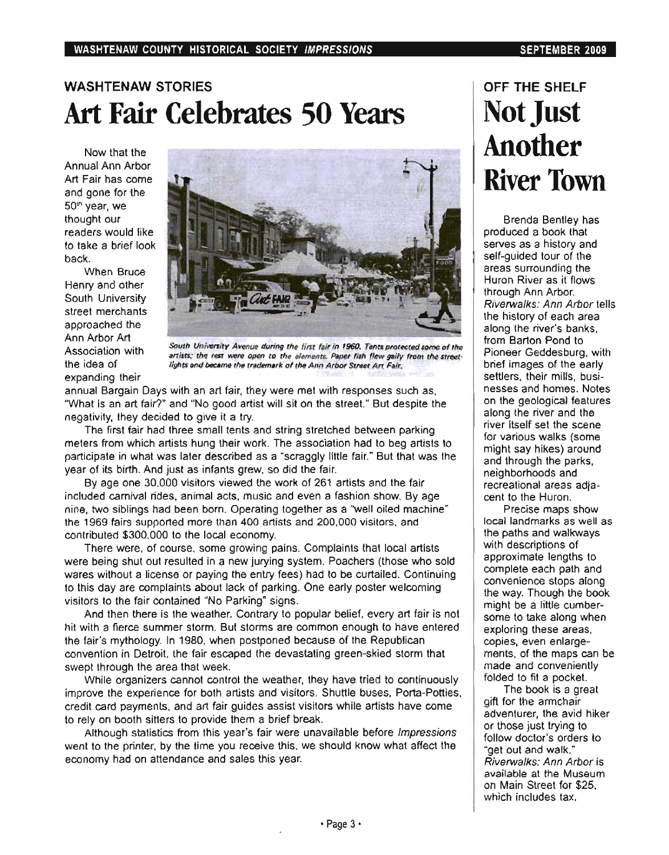### WASHTENAW STORIES Art Fair Celebrates 50 Years

Now that the Annual Ann Arbor Art Fair has come and gone for the 50" year, we thought our readers would like to take a brief look back.

When Bruce Henry and other South University street merchants approached the Ann Arbor Art Association with the idea of expanding their



South University Avenue during the first fair in 1960. Tents protected some of the South University Avenue during the first fair in 1960. Tents protected some of the<br>artists; the rest were open to the elements. Paper fish flew gaily from the street·<br>lights and became the trademark of the Ann Arbor Street

annual Bargain Days with an art fair, they were met with responses such as, "What is an art fair?" and "No good artist will sit on the street." But despite the negativity, they decided to give it a try.

The first fair had three small tents and string stretched between parking meters from which artists hung their work. The association had to beg artists to participate in what was later described as a "scraggly little fair." But that was the year of its birth. And just as infants grew, so did the fair.

By age one 30,000 visitors viewed the work of 261 artists and the fair included carnival rides, animal acts, music and even a fashion show. By age nine, two siblings had been born. Operating together as a "well oiled machine" the 1969 fairs supported more than 400 artists and 200,000 visitors, and contributed \$300,000 to the local economy.

There were, of course, some growing pains. Complaints that local artists were being shut out resulted in a new jurying system. Poachers (those who sold wares without a license or paying the entry fees) had to be curtailed. Continuing to this day are complaints about lack of parking. One early poster welcoming visitors to the fair contained "No Parking" signs.

And then there is the weather. Contrary to popular belief, every art fair is not hit with a fierce summer storm. But storms are common enough to have entered the fair's mythology. In 1980, when postponed because of the Republican convention in Detroit, the fair escaped the devastating green·skied storm that swept through the area that week.

While organizers cannot control the weather, they have tried to continuously improve the experience for both artists and visitors. Shuttle buses, Porta·Potties, credit card payments, and art fair guides assist visitors while artists have come to rely on booth sitters to provide them a brief break.

Although statistics from this year's fair were unavailable before Impressions went to the printer, by the time you receive this, we should know what affect the economy had on attendance and sales this year.

### OFF THE SHELF Not Just Another River Town

Brenda Bentley has produced a book that serves as a history and self·guided tour of the areas surrounding the Huron River as it flows through Ann Arbor. Riverwalks: Ann Arbor tells the history of each area along the river's banks, from Barton Pond to Pioneer Geddesburg, with brief images of the early settlers, their mills, businesses and homes. Notes on the geological features along the river and the river itself set the scene for various walks (some might say hikes) around and through the parks, neighborhoods and recreational areas adja· cent to the Huron.

Precise maps show local landmarks as well as the paths and walkways with descriptions of approximate lengths to complete each path and convenience stops along the way. Though the book might be a little cumber· some to take along when exploring these areas, copies, even enlarge· ments, of the maps can be made and conveniently folded to fit a pocket.

The book is a great gift for the armchair adventurer, the avid hiker or those just trying to follow doctor's orders to "get out and walk." Riverwalks: Ann Arbor is available at the Museum on Main Street for \$25, which includes tax.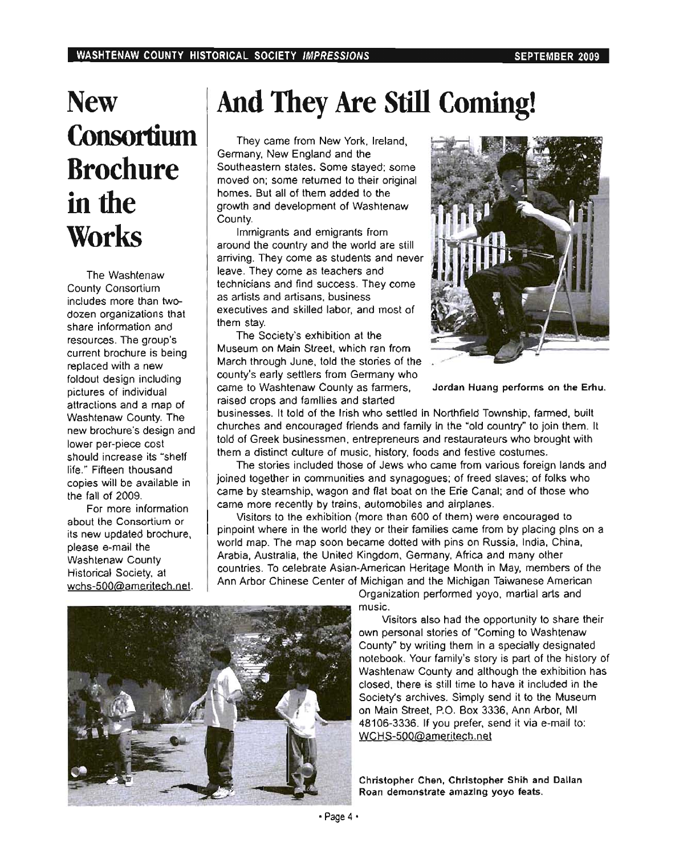# **New Consortium** Brochure in the **Works**

The Washtenaw County Consortium includes more than two· dozen organizations that share information and resources. The group's current brochure is being replaced with a new foldout design including pictures of individual attractions and a map of Washtenaw County. The new brochure's design and lower per-piece cost should increase its "shelf life." Fifteen thousand copies will be available in the fall of 2009.

For more information about the Consortium or its new updated brochure, please e-mail the Washtenaw County Historical Society, at wchs-500@ameritech.net.

# And They Are Still Coming!

They came from New York, Ireland, Germany, New England and the Southeastern states. Some stayed; some moved on; some returned to their original homes. But all of them added to the growth and development of Washtenaw County.

Immigrants and emigrants from around the country and the world are still arriving. They come as students and never leave. They come as teachers and technicians and find success. They come as artists and artisans, business executives and skilled labor, and most of them stay.

The Society's exhibition at the Museum on Main Street, which ran from March through June, told the stories of the county's early settlers from Germany who came to Washtenaw County as farmers, Jordan Huang performs on the Erhu. raised crops and families and started



businesses. It told of the Irish who settled in Northfield Township, farmed , built churches and encouraged friends and family in the "old country" to join them. It told of Greek businessmen, entrepreneurs and restaurateurs who brought with them a distinct culture of music, history, foods and festive costumes.

The stories included those of Jews who came from various foreign lands and joined together in communities and synagogues; of freed slaves; of folks who came by steamship, wagon and flat boat on the Erie Canal; and of those who came more recently by trains, automobiles and airplanes.

Visitors to the exhibition (more than 600 of them) were encouraged to pinpoint where in the world they or their families came from by placing pins on a world map. The map soon became dotted with pins on Russia, India, China, Arabia, Australia, the United Kingdom, Germany, Africa and many other countries. To celebrate Asian-American Heritage Month in May, members of the Ann Arbor Chinese Center of Michigan and the Michigan Taiwanese American

Organization performed yoyo, martial arts and music.

Visitors also had the opportunity to share their own personal stories of "Coming to Washtenaw" County" by writing them in a specially designated notebook. Your family's story is part of the history of Washtenaw County and although the exhibition has closed, there is still time to have it included in the Society's archives. Simply send it to the Museum on Main Street, P.O. Box 3336, Ann Arbor, MI 48106-3336. If you prefer. send it via e-mail to: WCHS-500@ameritech.net

Christopher Chen, Christopher Shih and Dallan Roan demonstrate amazing yoyo feats.

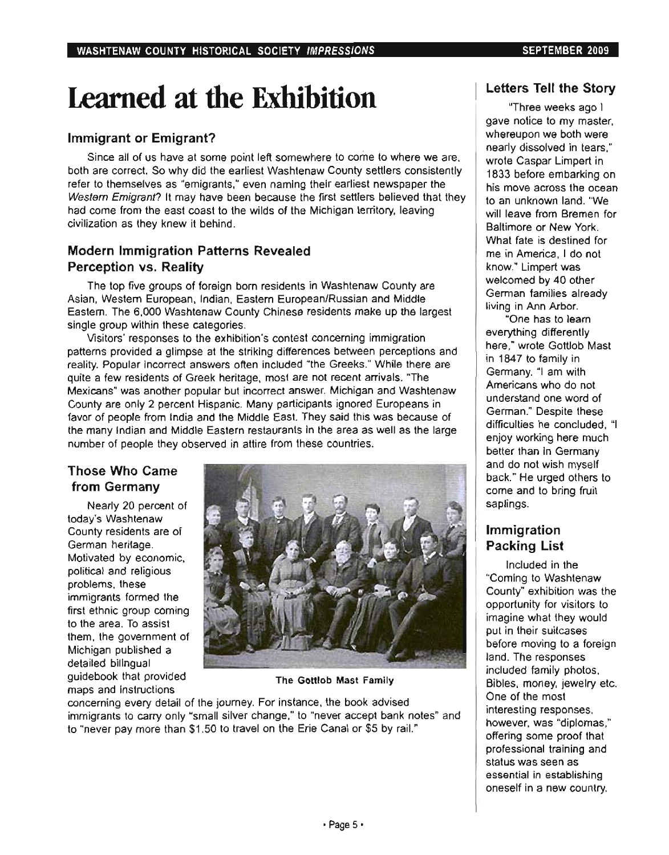# Learned at the Exhibition

### Immigrant or Emigrant?

Since all of us have at some point left somewhere to come to where we are, both are correct. So why did the earliest Washtenaw County settlers consistently refer to themselves as "emigrants," even naming their earliest newspaper the Western Emigrant? It may have been because the first settlers believed that they had come from the east coast to the wilds of the Michigan territory, leaving civilization as they knew it behind.

### Modern Immigration Patterns Revealed Perception vs. Reality

The top five groups of foreign born residents in Washtenaw County are Asian, Western European, Indian, Eastern European/Russian and Middle Eastern. The 6,000 Washtenaw County Chinese residents make up the largest single group within these categories.

Visitors' responses to the exhibition's contest concerning immigration patterns provided a glimpse at the striking differences between perceptions and reality. Popular incorrect answers often included "the Greeks." While there are quite a few residents of Greek heritage, most are not recent arrivals. "The Mexicans" was another popular but incorrect answer. Michigan and Washtenaw County are only 2 percent Hispanic. Many participants ignored Europeans in favor of people from India and the Middle East. They said this was because of the many Indian and Middle Eastern restaurants in the area as well as the large number of people they observed in attire from these countries.

### Those Who Came from Germany

Nearly 20 percent of today's Washtenaw County residents are of German heritage. Motivated by economic, political and religious problems, these immigrants formed the first ethnic group coming to the area. To assist them, the government of Michigan published a detailed bilingual guidebook that provided The Gottlob Mast Family maps and instructions



concerning every detail of the journey. For instance, the book advised immigrants to carry only "small silver change," to "never accept bank notes" and to "never pay more than \$1.50 to travel on the Erie Canal or \$5 by rail."

### Letters Tell the Story

"Three weeks ago I gave notice to my master, whereupon we both were nearly dissolved in tears," wrote Caspar Limpert in 1633 before embarking on his move across the ocean to an unknown land. "We will leave from Bremen for Baltimore or New York. What fate is destined for me in America, I do not know." Limpert was welcomed by 40 other German families already living in Ann Arbor.

"One has to learn everything differently here," wrote Gottlob Mast in 1647 to family in Germany. "I am with Americans who do not understand one word of German." Despite these difficulties he concluded, "I enjoy working here much better than in Germany and do not wish myself back." He urged others to come and to bring fruit saplings.

### Immigration Packing List

Included in the ·Coming to Washtenaw County" exhibition was the opportunity for visitors to imagine what they would put in their suitcases before moving to a foreign land. The responses included family photos, Bibles, money, jewelry etc. One of the most interesting responses, however, was "diplomas," offering some proof that professional training and status was seen as essential in establishing oneself in a new country.